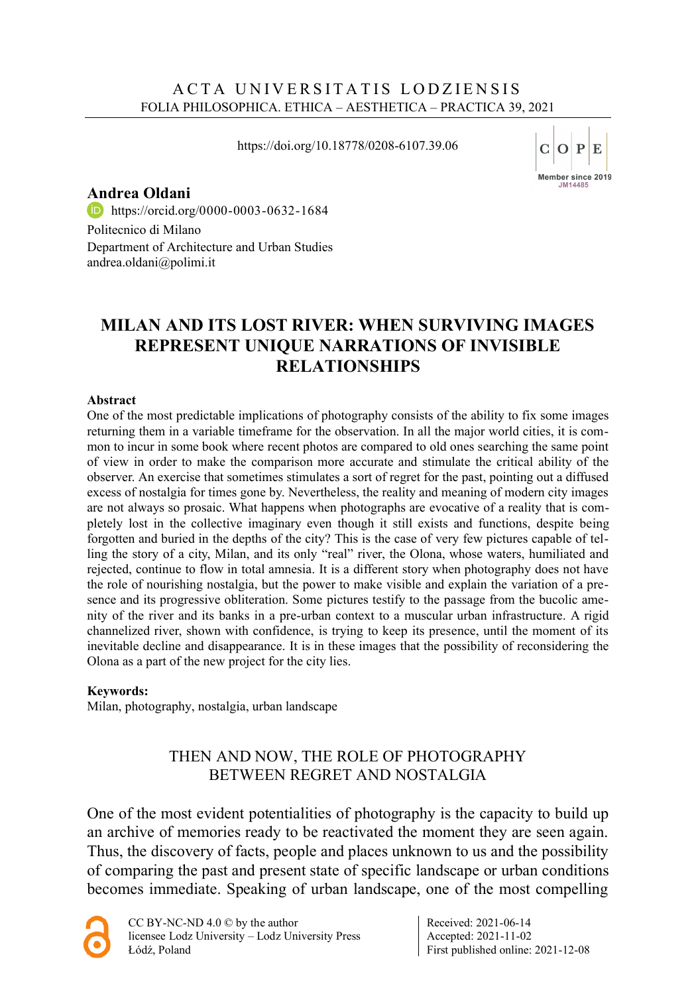<https://doi.org/10.18778/0208-6107.39.06>



## **Andrea Oldani**

Politecnico di Milano Department of Architecture and Urban Studies [andrea.oldani@polimi.it](mailto:andrea.oldani@polimi.it) **<https://orcid.org/0000-0003-0632-1684>** 

# **MILAN AND ITS LOST RIVER: WHEN SURVIVING IMAGES REPRESENT UNIQUE NARRATIONS OF INVISIBLE RELATIONSHIPS**

#### **Abstract**

One of the most predictable implications of photography consists of the ability to fix some images returning them in a variable timeframe for the observation. In all the major world cities, it is common to incur in some book where recent photos are compared to old ones searching the same point of view in order to make the comparison more accurate and stimulate the critical ability of the observer. An exercise that sometimes stimulates a sort of regret for the past, pointing out a diffused excess of nostalgia for times gone by. Nevertheless, the reality and meaning of modern city images are not always so prosaic. What happens when photographs are evocative of a reality that is completely lost in the collective imaginary even though it still exists and functions, despite being forgotten and buried in the depths of the city? This is the case of very few pictures capable of telling the story of a city, Milan, and its only "real" river, the Olona, whose waters, humiliated and rejected, continue to flow in total amnesia. It is a different story when photography does not have the role of nourishing nostalgia, but the power to make visible and explain the variation of a presence and its progressive obliteration. Some pictures testify to the passage from the bucolic amenity of the river and its banks in a pre-urban context to a muscular urban infrastructure. A rigid channelized river, shown with confidence, is trying to keep its presence, until the moment of its inevitable decline and disappearance. It is in these images that the possibility of reconsidering the Olona as a part of the new project for the city lies.

#### **Keywords:**

Milan, photography, nostalgia, urban landscape

## THEN AND NOW, THE ROLE OF PHOTOGRAPHY BETWEEN REGRET AND NOSTALGIA

One of the most evident potentialities of photography is the capacity to build up an archive of memories ready to be reactivated the moment they are seen again. Thus, the discovery of facts, people and places unknown to us and the possibility of comparing the past and present state of specific landscape or urban conditions becomes immediate. Speaking of urban landscape, one of the most compelling

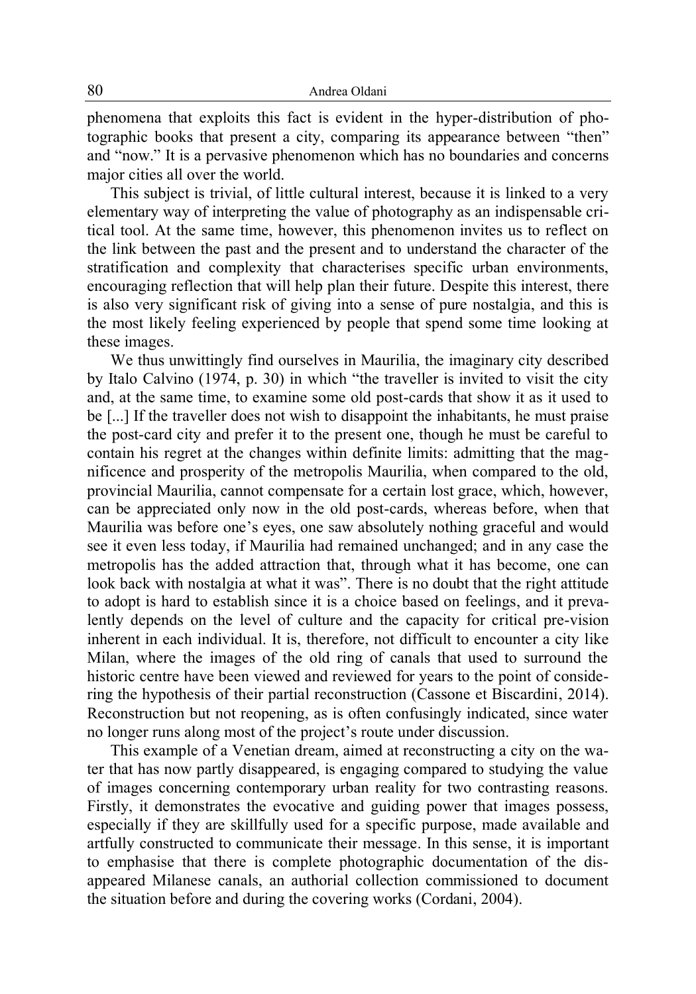phenomena that exploits this fact is evident in the hyper-distribution of photographic books that present a city, comparing its appearance between "then" and "now." It is a pervasive phenomenon which has no boundaries and concerns major cities all over the world.

This subject is trivial, of little cultural interest, because it is linked to a very elementary way of interpreting the value of photography as an indispensable critical tool. At the same time, however, this phenomenon invites us to reflect on the link between the past and the present and to understand the character of the stratification and complexity that characterises specific urban environments, encouraging reflection that will help plan their future. Despite this interest, there is also very significant risk of giving into a sense of pure nostalgia, and this is the most likely feeling experienced by people that spend some time looking at these images.

We thus unwittingly find ourselves in Maurilia, the imaginary city described by Italo Calvino  $(1974, p. 30)$  in which "the traveller is invited to visit the city and, at the same time, to examine some old post-cards that show it as it used to be [...] If the traveller does not wish to disappoint the inhabitants, he must praise the post-card city and prefer it to the present one, though he must be careful to contain his regret at the changes within definite limits: admitting that the magnificence and prosperity of the metropolis Maurilia, when compared to the old, provincial Maurilia, cannot compensate for a certain lost grace, which, however, can be appreciated only now in the old post-cards, whereas before, when that Maurilia was before one's eyes, one saw absolutely nothing graceful and would see it even less today, if Maurilia had remained unchanged; and in any case the metropolis has the added attraction that, through what it has become, one can look back with nostalgia at what it was". There is no doubt that the right attitude to adopt is hard to establish since it is a choice based on feelings, and it prevalently depends on the level of culture and the capacity for critical pre-vision inherent in each individual. It is, therefore, not difficult to encounter a city like Milan, where the images of the old ring of canals that used to surround the historic centre have been viewed and reviewed for years to the point of considering the hypothesis of their partial reconstruction (Cassone et Biscardini, 2014). Reconstruction but not reopening, as is often confusingly indicated, since water no longer runs along most of the project's route under discussion.

This example of a Venetian dream, aimed at reconstructing a city on the water that has now partly disappeared, is engaging compared to studying the value of images concerning contemporary urban reality for two contrasting reasons. Firstly, it demonstrates the evocative and guiding power that images possess, especially if they are skillfully used for a specific purpose, made available and artfully constructed to communicate their message. In this sense, it is important to emphasise that there is complete photographic documentation of the disappeared Milanese canals, an authorial collection commissioned to document the situation before and during the covering works (Cordani, 2004).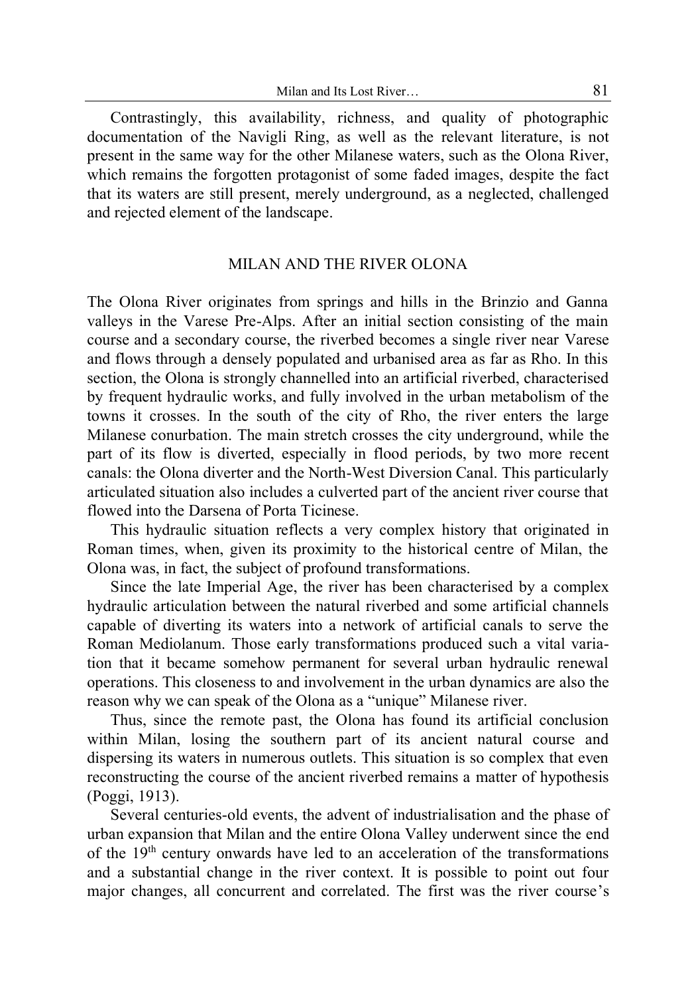Contrastingly, this availability, richness, and quality of photographic documentation of the Navigli Ring, as well as the relevant literature, is not present in the same way for the other Milanese waters, such as the Olona River, which remains the forgotten protagonist of some faded images, despite the fact that its waters are still present, merely underground, as a neglected, challenged and rejected element of the landscape.

#### MILAN AND THE RIVER OLONA

The Olona River originates from springs and hills in the Brinzio and Ganna valleys in the Varese Pre-Alps. After an initial section consisting of the main course and a secondary course, the riverbed becomes a single river near Varese and flows through a densely populated and urbanised area as far as Rho. In this section, the Olona is strongly channelled into an artificial riverbed, characterised by frequent hydraulic works, and fully involved in the urban metabolism of the towns it crosses. In the south of the city of Rho, the river enters the large Milanese conurbation. The main stretch crosses the city underground, while the part of its flow is diverted, especially in flood periods, by two more recent canals: the Olona diverter and the North-West Diversion Canal. This particularly articulated situation also includes a culverted part of the ancient river course that flowed into the Darsena of Porta Ticinese.

This hydraulic situation reflects a very complex history that originated in Roman times, when, given its proximity to the historical centre of Milan, the Olona was, in fact, the subject of profound transformations.

Since the late Imperial Age, the river has been characterised by a complex hydraulic articulation between the natural riverbed and some artificial channels capable of diverting its waters into a network of artificial canals to serve the Roman Mediolanum. Those early transformations produced such a vital variation that it became somehow permanent for several urban hydraulic renewal operations. This closeness to and involvement in the urban dynamics are also the reason why we can speak of the Olona as a "unique" Milanese river.

Thus, since the remote past, the Olona has found its artificial conclusion within Milan, losing the southern part of its ancient natural course and dispersing its waters in numerous outlets. This situation is so complex that even reconstructing the course of the ancient riverbed remains a matter of hypothesis (Poggi, 1913).

Several centuries-old events, the advent of industrialisation and the phase of urban expansion that Milan and the entire Olona Valley underwent since the end of the  $19<sup>th</sup>$  century onwards have led to an acceleration of the transformations and a substantial change in the river context. It is possible to point out four major changes, all concurrent and correlated. The first was the river course's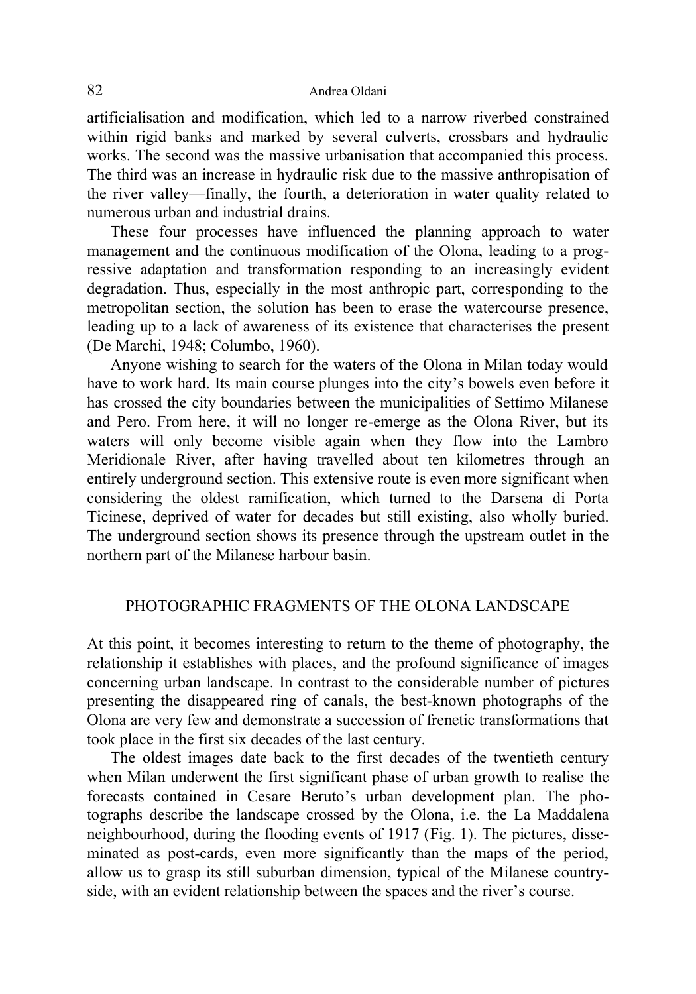artificialisation and modification, which led to a narrow riverbed constrained within rigid banks and marked by several culverts, crossbars and hydraulic works. The second was the massive urbanisation that accompanied this process. The third was an increase in hydraulic risk due to the massive anthropisation of the river valley—finally, the fourth, a deterioration in water quality related to numerous urban and industrial drains.

These four processes have influenced the planning approach to water management and the continuous modification of the Olona, leading to a progressive adaptation and transformation responding to an increasingly evident degradation. Thus, especially in the most anthropic part, corresponding to the metropolitan section, the solution has been to erase the watercourse presence, leading up to a lack of awareness of its existence that characterises the present (De Marchi, 1948; Columbo, 1960).

Anyone wishing to search for the waters of the Olona in Milan today would have to work hard. Its main course plunges into the city's bowels even before it has crossed the city boundaries between the municipalities of Settimo Milanese and Pero. From here, it will no longer re-emerge as the Olona River, but its waters will only become visible again when they flow into the Lambro Meridionale River, after having travelled about ten kilometres through an entirely underground section. This extensive route is even more significant when considering the oldest ramification, which turned to the Darsena di Porta Ticinese, deprived of water for decades but still existing, also wholly buried. The underground section shows its presence through the upstream outlet in the northern part of the Milanese harbour basin.

#### PHOTOGRAPHIC FRAGMENTS OF THE OLONA LANDSCAPE

At this point, it becomes interesting to return to the theme of photography, the relationship it establishes with places, and the profound significance of images concerning urban landscape. In contrast to the considerable number of pictures presenting the disappeared ring of canals, the best-known photographs of the Olona are very few and demonstrate a succession of frenetic transformations that took place in the first six decades of the last century.

The oldest images date back to the first decades of the twentieth century when Milan underwent the first significant phase of urban growth to realise the forecasts contained in Cesare Beruto's urban development plan. The photographs describe the landscape crossed by the Olona, i.e. the La Maddalena neighbourhood, during the flooding events of 1917 (Fig. 1). The pictures, disseminated as post-cards, even more significantly than the maps of the period, allow us to grasp its still suburban dimension, typical of the Milanese countryside, with an evident relationship between the spaces and the river's course.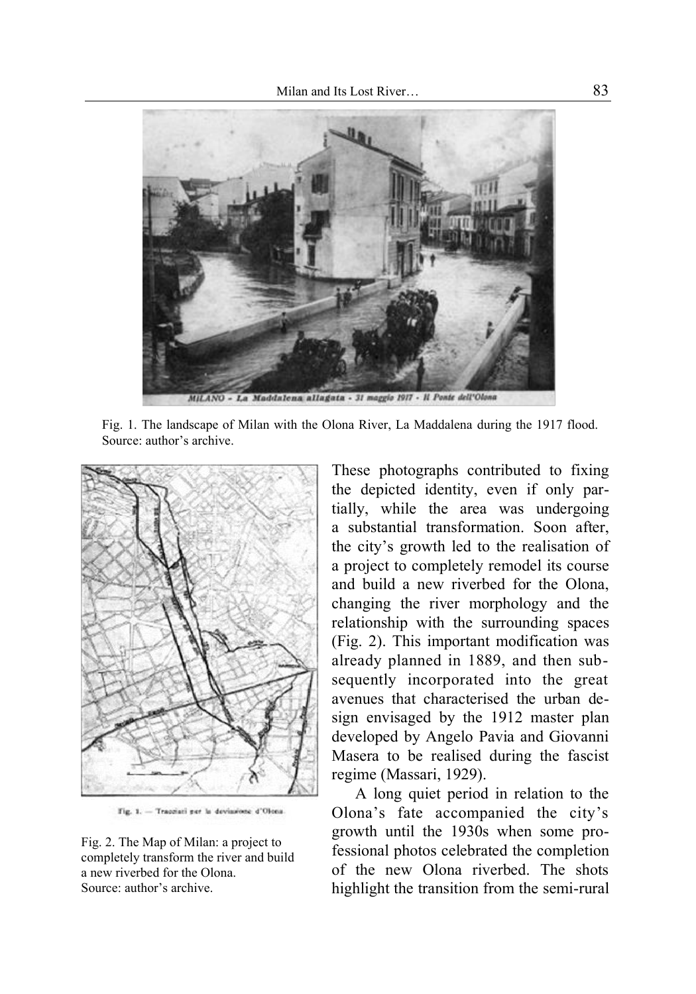

Fig. 1. The landscape of Milan with the Olona River, La Maddalena during the 1917 flood. Source: author's archive.



Fig. 1. - Tracciati per la devissione d'Olona.

Fig. 2. The Map of Milan: a project to completely transform the river and build a new riverbed for the Olona. Source: author's archive.

These photographs contributed to fixing the depicted identity, even if only partially, while the area was undergoing a substantial transformation. Soon after, the city's growth led to the realisation of a project to completely remodel its course and build a new riverbed for the Olona, changing the river morphology and the relationship with the surrounding spaces (Fig. 2). This important modification was already planned in 1889, and then subsequently incorporated into the great avenues that characterised the urban design envisaged by the 1912 master plan developed by Angelo Pavia and Giovanni Masera to be realised during the fascist regime (Massari, 1929).

A long quiet period in relation to the Olona's fate accompanied the city's growth until the 1930s when some professional photos celebrated the completion of the new Olona riverbed. The shots highlight the transition from the semi-rural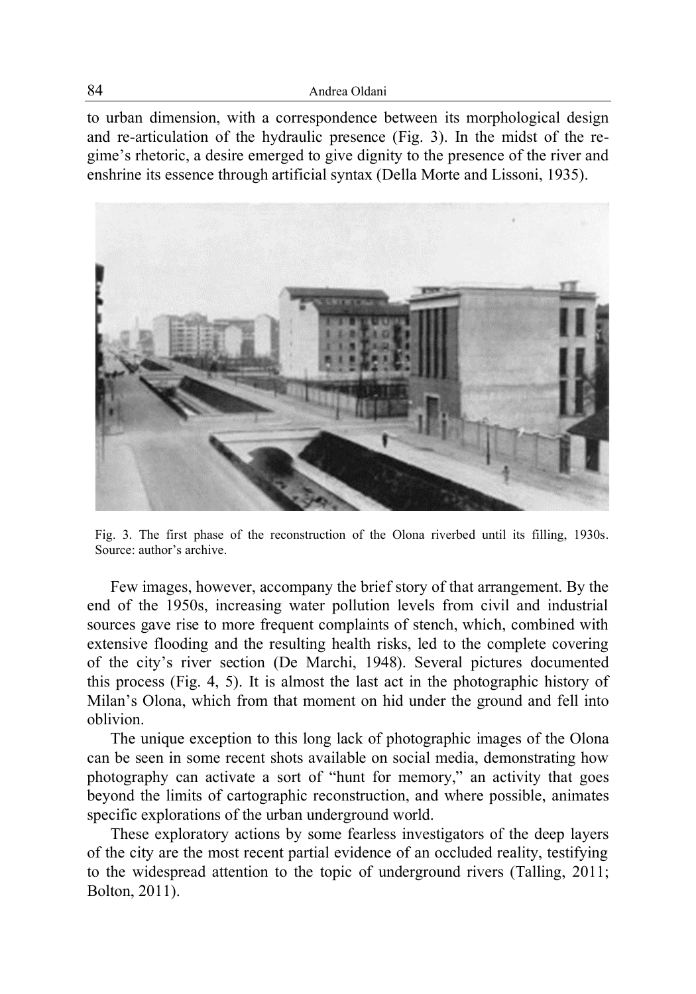to urban dimension, with a correspondence between its morphological design and re-articulation of the hydraulic presence (Fig. 3). In the midst of the regime's rhetoric, a desire emerged to give dignity to the presence of the river and enshrine its essence through artificial syntax (Della Morte and Lissoni, 1935).



Fig. 3. The first phase of the reconstruction of the Olona riverbed until its filling, 1930s. Source: author's archive.

Few images, however, accompany the brief story of that arrangement. By the end of the 1950s, increasing water pollution levels from civil and industrial sources gave rise to more frequent complaints of stench, which, combined with extensive flooding and the resulting health risks, led to the complete covering of the city's river section (De Marchi, 1948). Several pictures documented this process (Fig. 4, 5). It is almost the last act in the photographic history of Milan's Olona, which from that moment on hid under the ground and fell into oblivion.

The unique exception to this long lack of photographic images of the Olona can be seen in some recent shots available on social media, demonstrating how photography can activate a sort of "hunt for memory," an activity that goes beyond the limits of cartographic reconstruction, and where possible, animates specific explorations of the urban underground world.

These exploratory actions by some fearless investigators of the deep layers of the city are the most recent partial evidence of an occluded reality, testifying to the widespread attention to the topic of underground rivers (Talling, 2011; Bolton, 2011).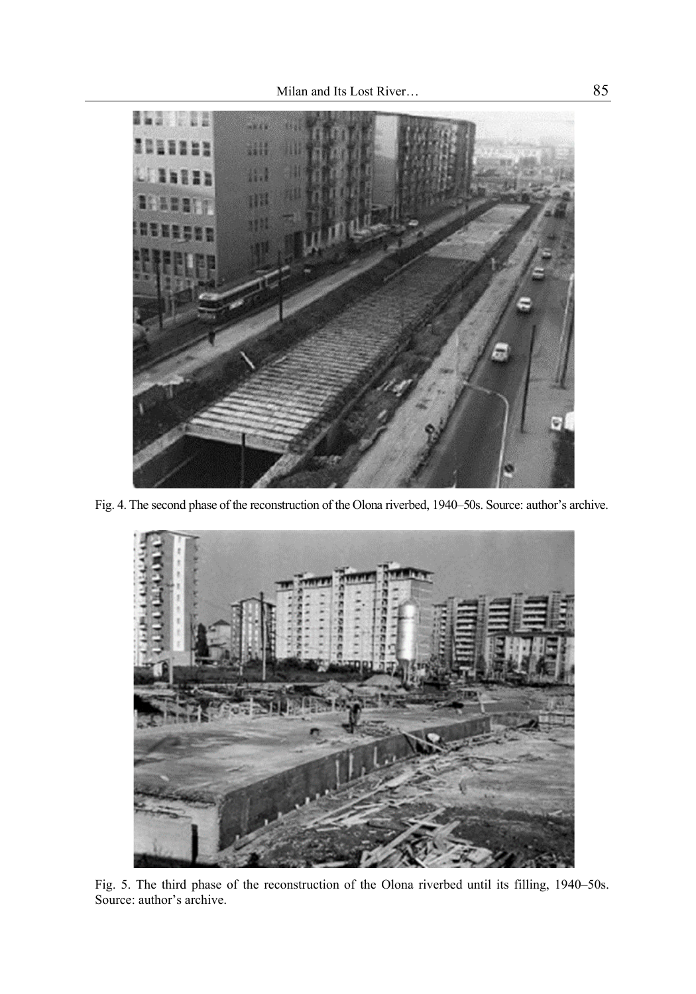

Fig. 4. The second phase of the reconstruction of the Olona riverbed, 1940–50s. Source: author's archive.



Fig. 5. The third phase of the reconstruction of the Olona riverbed until its filling, 1940-50s. Source: author's archive.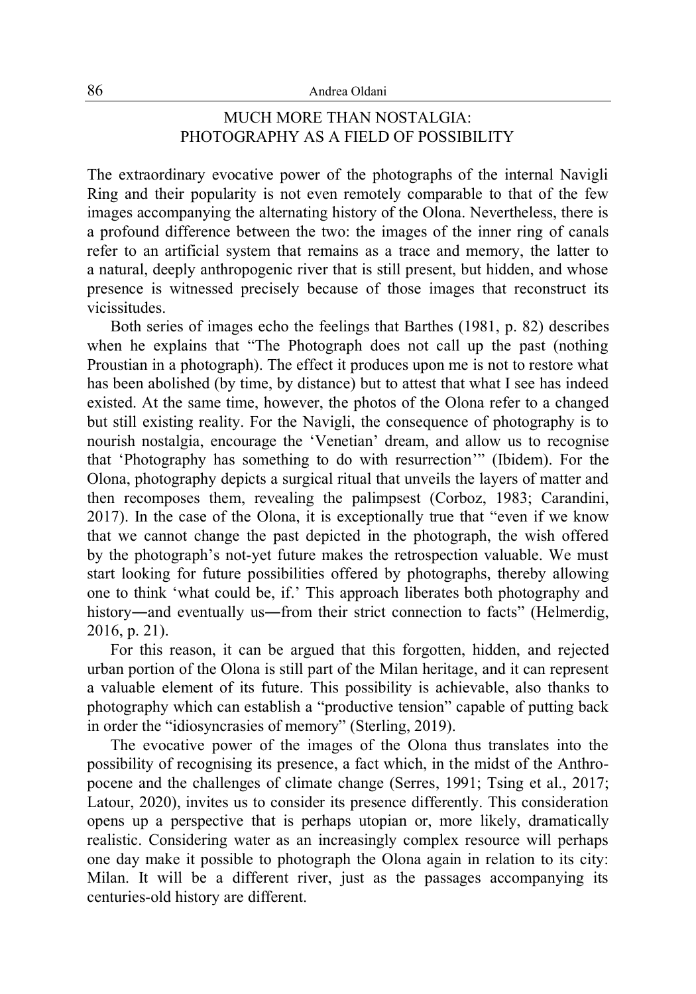## MUCH MORE THAN NOSTALGIA: PHOTOGRAPHY AS A FIELD OF POSSIBILITY

The extraordinary evocative power of the photographs of the internal Navigli Ring and their popularity is not even remotely comparable to that of the few images accompanying the alternating history of the Olona. Nevertheless, there is a profound difference between the two: the images of the inner ring of canals refer to an artificial system that remains as a trace and memory, the latter to a natural, deeply anthropogenic river that is still present, but hidden, and whose presence is witnessed precisely because of those images that reconstruct its vicissitudes.

Both series of images echo the feelings that Barthes (1981, p. 82) describes when he explains that "The Photograph does not call up the past (nothing Proustian in a photograph). The effect it produces upon me is not to restore what has been abolished (by time, by distance) but to attest that what I see has indeed existed. At the same time, however, the photos of the Olona refer to a changed but still existing reality. For the Navigli, the consequence of photography is to nourish nostalgia, encourage the 'Venetian' dream, and allow us to recognise that 'Photography has something to do with resurrection'" (Ibidem). For the Olona, photography depicts a surgical ritual that unveils the layers of matter and then recomposes them, revealing the palimpsest (Corboz, 1983; Carandini,  $2017$ ). In the case of the Olona, it is exceptionally true that "even if we know that we cannot change the past depicted in the photograph, the wish offered by the photograph's not-yet future makes the retrospection valuable. We must start looking for future possibilities offered by photographs, thereby allowing one to think 'what could be, if.' This approach liberates both photography and history—and eventually us—from their strict connection to facts" (Helmerdig, 2016, p. 21).

For this reason, it can be argued that this forgotten, hidden, and rejected urban portion of the Olona is still part of the Milan heritage, and it can represent a valuable element of its future. This possibility is achievable, also thanks to photography which can establish a "productive tension" capable of putting back in order the "idiosyncrasies of memory" (Sterling, 2019).

The evocative power of the images of the Olona thus translates into the possibility of recognising its presence, a fact which, in the midst of the Anthropocene and the challenges of climate change (Serres, 1991; Tsing et al., 2017; Latour, 2020), invites us to consider its presence differently. This consideration opens up a perspective that is perhaps utopian or, more likely, dramatically realistic. Considering water as an increasingly complex resource will perhaps one day make it possible to photograph the Olona again in relation to its city: Milan. It will be a different river, just as the passages accompanying its centuries-old history are different.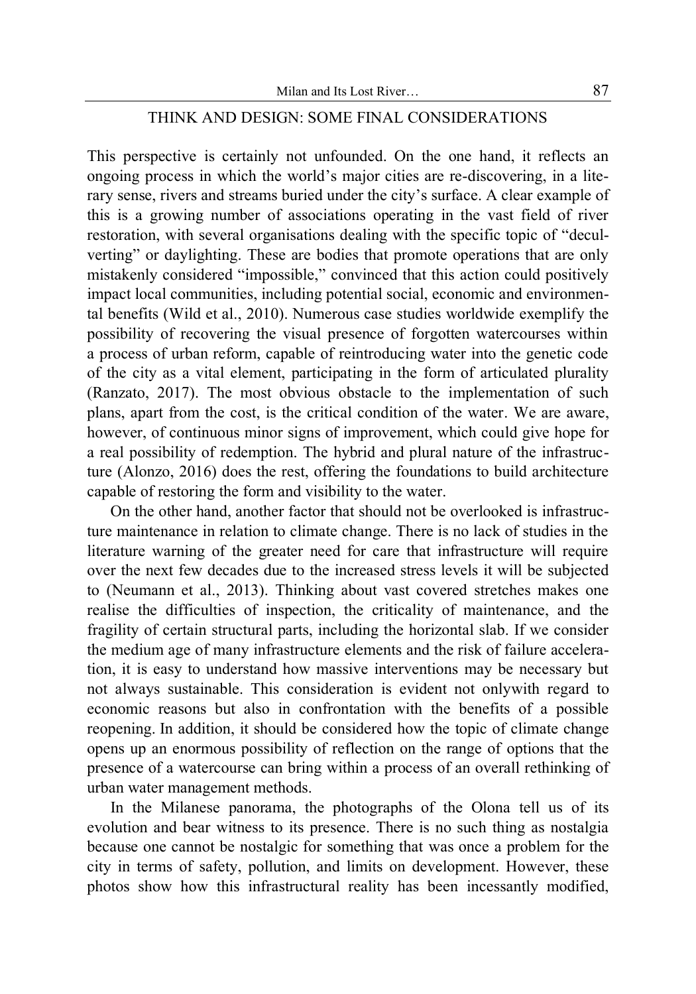### THINK AND DESIGN: SOME FINAL CONSIDERATIONS

This perspective is certainly not unfounded. On the one hand, it reflects an ongoing process in which the world's major cities are re-discovering, in a literary sense, rivers and streams buried under the city's surface. A clear example of this is a growing number of associations operating in the vast field of river restoration, with several organisations dealing with the specific topic of "deculverting" or daylighting. These are bodies that promote operations that are only mistakenly considered "impossible," convinced that this action could positively impact local communities, including potential social, economic and environmental benefits (Wild et al., 2010). Numerous case studies worldwide exemplify the possibility of recovering the visual presence of forgotten watercourses within a process of urban reform, capable of reintroducing water into the genetic code of the city as a vital element, participating in the form of articulated plurality (Ranzato, 2017). The most obvious obstacle to the implementation of such plans, apart from the cost, is the critical condition of the water. We are aware, however, of continuous minor signs of improvement, which could give hope for a real possibility of redemption. The hybrid and plural nature of the infrastructure (Alonzo, 2016) does the rest, offering the foundations to build architecture capable of restoring the form and visibility to the water.

On the other hand, another factor that should not be overlooked is infrastructure maintenance in relation to climate change. There is no lack of studies in the literature warning of the greater need for care that infrastructure will require over the next few decades due to the increased stress levels it will be subjected to (Neumann et al., 2013). Thinking about vast covered stretches makes one realise the difficulties of inspection, the criticality of maintenance, and the fragility of certain structural parts, including the horizontal slab. If we consider the medium age of many infrastructure elements and the risk of failure acceleration, it is easy to understand how massive interventions may be necessary but not always sustainable. This consideration is evident not onlywith regard to economic reasons but also in confrontation with the benefits of a possible reopening. In addition, it should be considered how the topic of climate change opens up an enormous possibility of reflection on the range of options that the presence of a watercourse can bring within a process of an overall rethinking of urban water management methods.

In the Milanese panorama, the photographs of the Olona tell us of its evolution and bear witness to its presence. There is no such thing as nostalgia because one cannot be nostalgic for something that was once a problem for the city in terms of safety, pollution, and limits on development. However, these photos show how this infrastructural reality has been incessantly modified,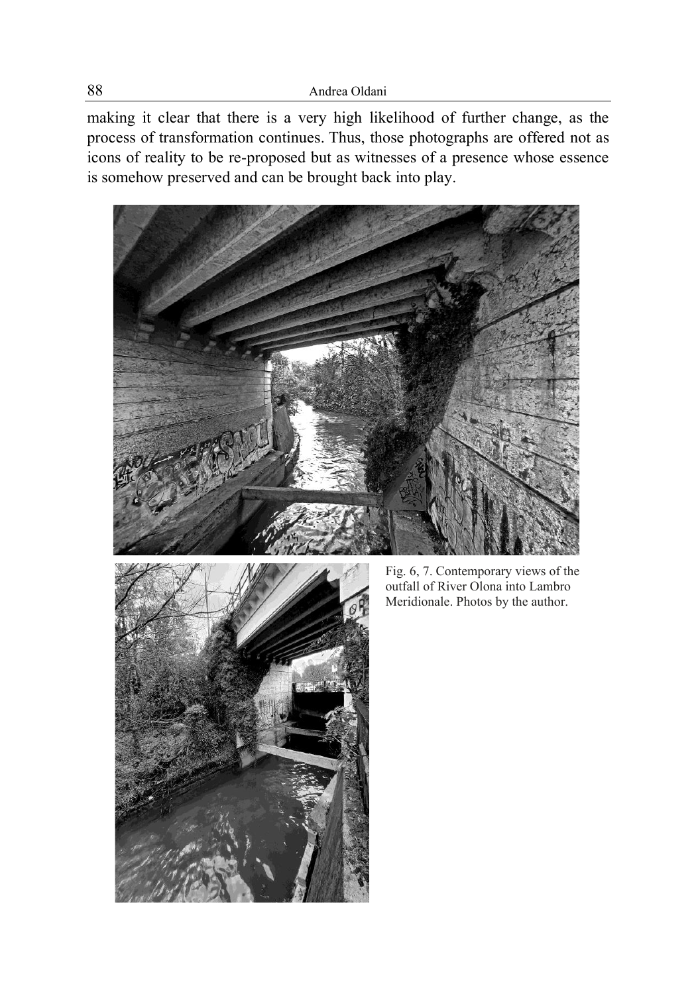making it clear that there is a very high likelihood of further change, as the process of transformation continues. Thus, those photographs are offered not as icons of reality to be re-proposed but as witnesses of a presence whose essence is somehow preserved and can be brought back into play.





Fig. 6, 7. Contemporary views of the outfall of River Olona into Lambro Meridionale. Photos by the author.